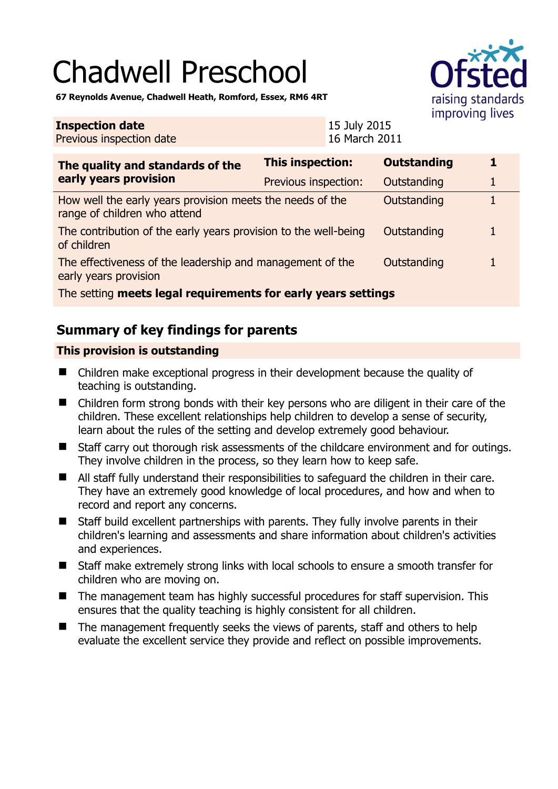# Chadwell Preschool



**67 Reynolds Avenue, Chadwell Heath, Romford, Essex, RM6 4RT** 

#### **Inspection date** Previous inspection date 15 July 2015 16 March 2011 **The quality and standards of the early years provision This inspection: Outstanding 1**  Previous inspection: Outstanding 1 How well the early years provision meets the needs of the range of children who attend Outstanding 1 The contribution of the early years provision to the well-being of children Outstanding 1 The effectiveness of the leadership and management of the early years provision Outstanding 1 The setting **meets legal requirements for early years settings**

## **Summary of key findings for parents**

#### **This provision is outstanding**

- Children make exceptional progress in their development because the quality of teaching is outstanding.
- Children form strong bonds with their key persons who are diligent in their care of the children. These excellent relationships help children to develop a sense of security, learn about the rules of the setting and develop extremely good behaviour.
- Staff carry out thorough risk assessments of the childcare environment and for outings. They involve children in the process, so they learn how to keep safe.
- All staff fully understand their responsibilities to safeguard the children in their care. They have an extremely good knowledge of local procedures, and how and when to record and report any concerns.
- Staff build excellent partnerships with parents. They fully involve parents in their children's learning and assessments and share information about children's activities and experiences.
- Staff make extremely strong links with local schools to ensure a smooth transfer for children who are moving on.
- The management team has highly successful procedures for staff supervision. This ensures that the quality teaching is highly consistent for all children.
- $\blacksquare$  The management frequently seeks the views of parents, staff and others to help evaluate the excellent service they provide and reflect on possible improvements.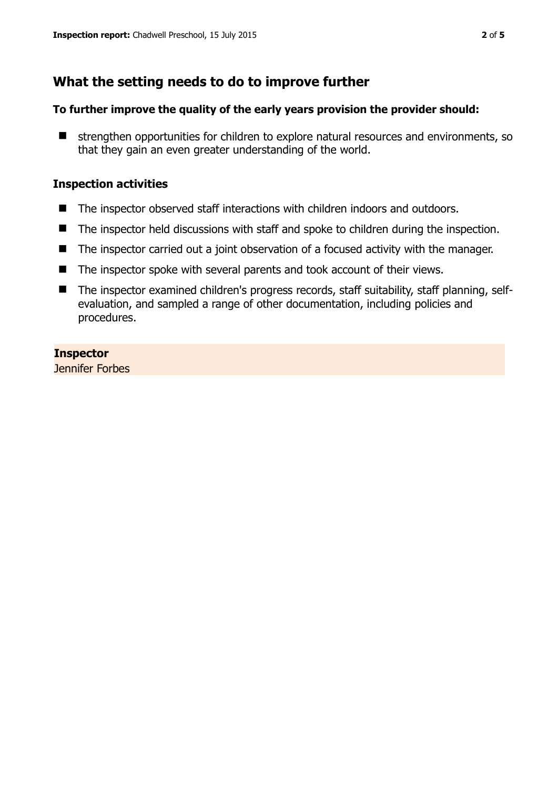## **What the setting needs to do to improve further**

#### **To further improve the quality of the early years provision the provider should:**

**E** strengthen opportunities for children to explore natural resources and environments, so that they gain an even greater understanding of the world.

#### **Inspection activities**

- The inspector observed staff interactions with children indoors and outdoors.
- The inspector held discussions with staff and spoke to children during the inspection.
- The inspector carried out a joint observation of a focused activity with the manager.
- The inspector spoke with several parents and took account of their views.
- The inspector examined children's progress records, staff suitability, staff planning, selfevaluation, and sampled a range of other documentation, including policies and procedures.

#### **Inspector**

Jennifer Forbes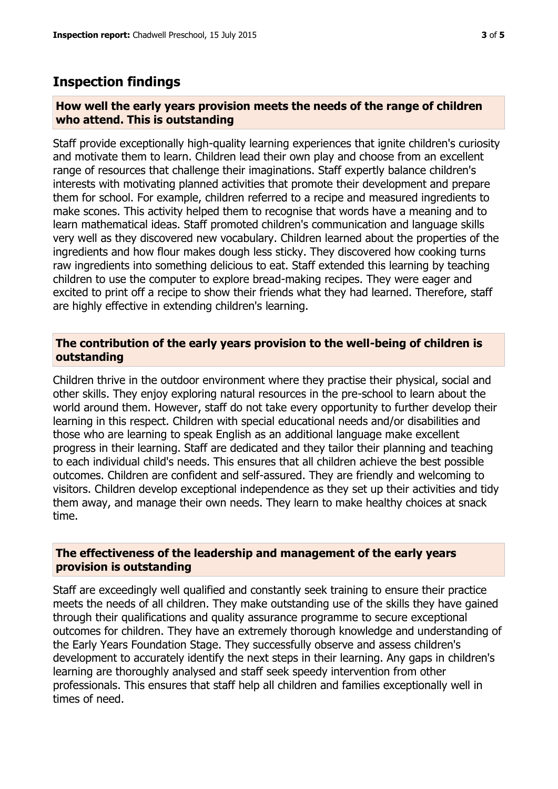### **Inspection findings**

#### **How well the early years provision meets the needs of the range of children who attend. This is outstanding**

Staff provide exceptionally high-quality learning experiences that ignite children's curiosity and motivate them to learn. Children lead their own play and choose from an excellent range of resources that challenge their imaginations. Staff expertly balance children's interests with motivating planned activities that promote their development and prepare them for school. For example, children referred to a recipe and measured ingredients to make scones. This activity helped them to recognise that words have a meaning and to learn mathematical ideas. Staff promoted children's communication and language skills very well as they discovered new vocabulary. Children learned about the properties of the ingredients and how flour makes dough less sticky. They discovered how cooking turns raw ingredients into something delicious to eat. Staff extended this learning by teaching children to use the computer to explore bread-making recipes. They were eager and excited to print off a recipe to show their friends what they had learned. Therefore, staff are highly effective in extending children's learning.

#### **The contribution of the early years provision to the well-being of children is outstanding**

Children thrive in the outdoor environment where they practise their physical, social and other skills. They enjoy exploring natural resources in the pre-school to learn about the world around them. However, staff do not take every opportunity to further develop their learning in this respect. Children with special educational needs and/or disabilities and those who are learning to speak English as an additional language make excellent progress in their learning. Staff are dedicated and they tailor their planning and teaching to each individual child's needs. This ensures that all children achieve the best possible outcomes. Children are confident and self-assured. They are friendly and welcoming to visitors. Children develop exceptional independence as they set up their activities and tidy them away, and manage their own needs. They learn to make healthy choices at snack time.

#### **The effectiveness of the leadership and management of the early years provision is outstanding**

Staff are exceedingly well qualified and constantly seek training to ensure their practice meets the needs of all children. They make outstanding use of the skills they have gained through their qualifications and quality assurance programme to secure exceptional outcomes for children. They have an extremely thorough knowledge and understanding of the Early Years Foundation Stage. They successfully observe and assess children's development to accurately identify the next steps in their learning. Any gaps in children's learning are thoroughly analysed and staff seek speedy intervention from other professionals. This ensures that staff help all children and families exceptionally well in times of need.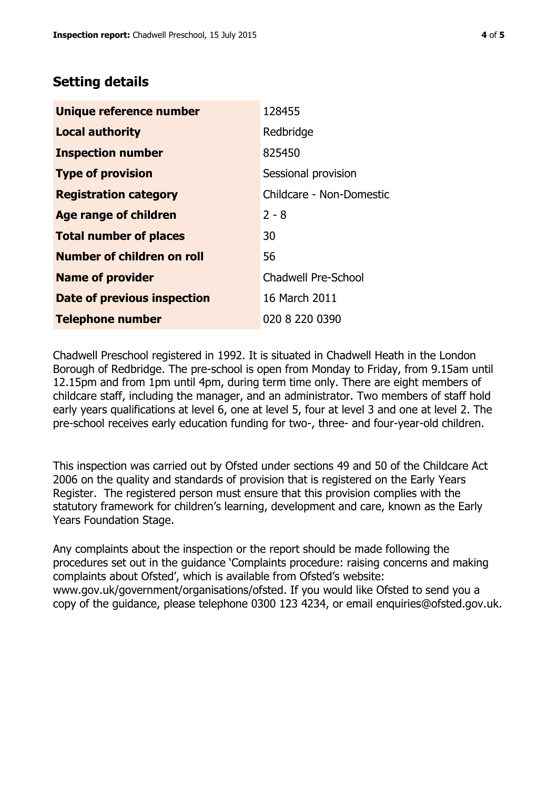## **Setting details**

| Unique reference number           | 128455                     |
|-----------------------------------|----------------------------|
| <b>Local authority</b>            | Redbridge                  |
| <b>Inspection number</b>          | 825450                     |
| <b>Type of provision</b>          | Sessional provision        |
| <b>Registration category</b>      | Childcare - Non-Domestic   |
| <b>Age range of children</b>      | $2 - 8$                    |
| <b>Total number of places</b>     | 30                         |
| <b>Number of children on roll</b> | 56                         |
| <b>Name of provider</b>           | <b>Chadwell Pre-School</b> |
| Date of previous inspection       | 16 March 2011              |
| <b>Telephone number</b>           | 020 8 220 0390             |

Chadwell Preschool registered in 1992. It is situated in Chadwell Heath in the London Borough of Redbridge. The pre-school is open from Monday to Friday, from 9.15am until 12.15pm and from 1pm until 4pm, during term time only. There are eight members of childcare staff, including the manager, and an administrator. Two members of staff hold early years qualifications at level 6, one at level 5, four at level 3 and one at level 2. The pre-school receives early education funding for two-, three- and four-year-old children.

This inspection was carried out by Ofsted under sections 49 and 50 of the Childcare Act 2006 on the quality and standards of provision that is registered on the Early Years Register. The registered person must ensure that this provision complies with the statutory framework for children's learning, development and care, known as the Early Years Foundation Stage.

Any complaints about the inspection or the report should be made following the procedures set out in the guidance 'Complaints procedure: raising concerns and making complaints about Ofsted', which is available from Ofsted's website: www.gov.uk/government/organisations/ofsted. If you would like Ofsted to send you a copy of the guidance, please telephone 0300 123 4234, or email enquiries@ofsted.gov.uk.